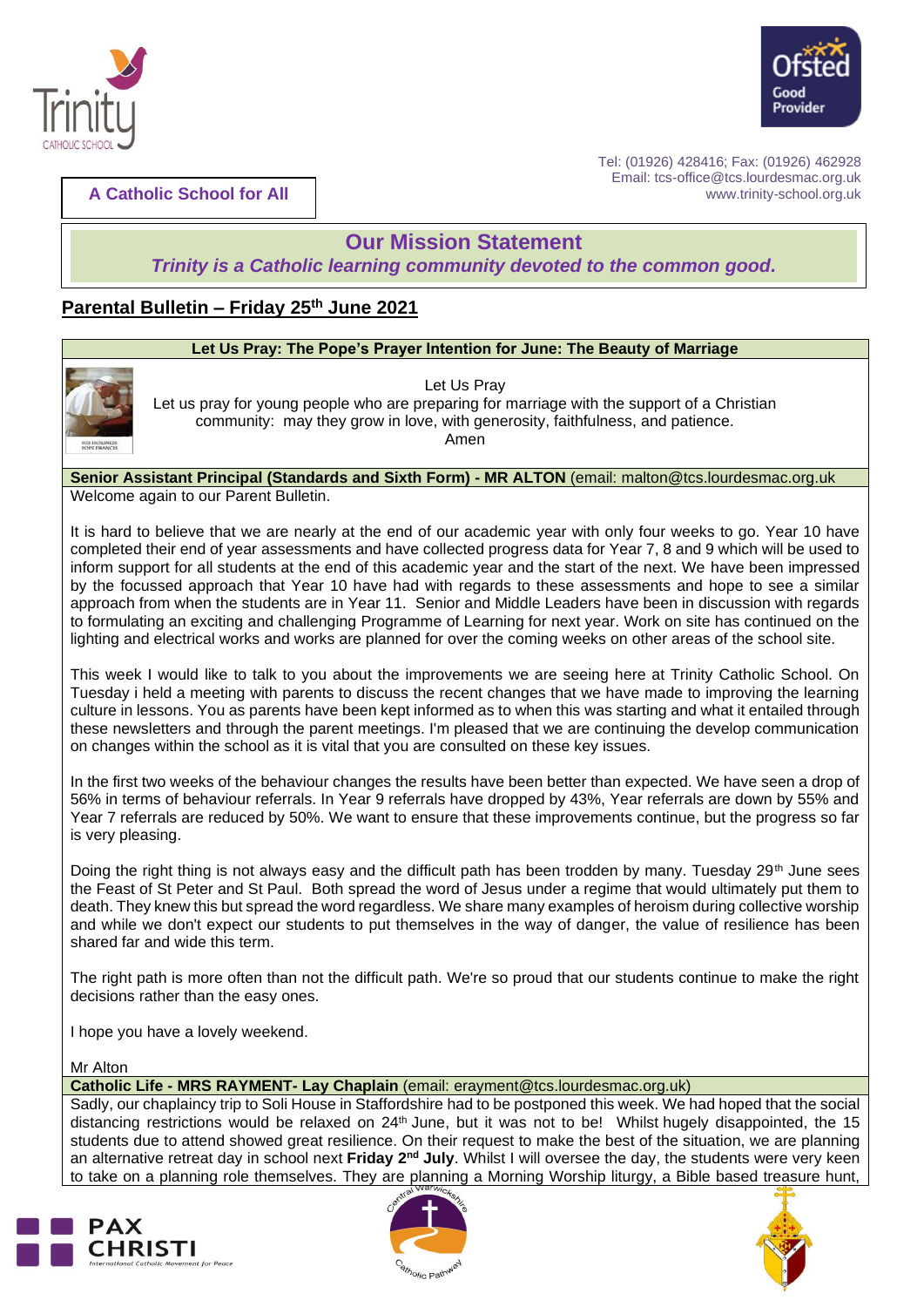



**A Catholic School for All**

Tel: (01926) 428416; Fax: (01926) 462928 Email: tcs-office@tcs.lourdesmac.org.uk www.trinity-school.org.uk

## **Our Mission Statement**

*Trinity is a Catholic learning community devoted to the common good.*

### **Parental Bulletin – Friday 25th June 2021**

# **Let Us Pray: The Pope's Prayer Intention for June: The Beauty of Marriage**



Let Us Pray Let us pray for young people who are preparing for marriage with the support of a Christian community: may they grow in love, with generosity, faithfulness, and patience. Amen

#### **Senior Assistant Principal (Standards and Sixth Form) - MR ALTON** (email: [malton@tcs.lourdesmac.org.uk](mailto:malton@tcs.lourdesmac.org.uk) Welcome again to our Parent Bulletin.

It is hard to believe that we are nearly at the end of our academic year with only four weeks to go. Year 10 have completed their end of year assessments and have collected progress data for Year 7, 8 and 9 which will be used to inform support for all students at the end of this academic year and the start of the next. We have been impressed by the focussed approach that Year 10 have had with regards to these assessments and hope to see a similar approach from when the students are in Year 11. Senior and Middle Leaders have been in discussion with regards to formulating an exciting and challenging Programme of Learning for next year. Work on site has continued on the lighting and electrical works and works are planned for over the coming weeks on other areas of the school site.

This week I would like to talk to you about the improvements we are seeing here at Trinity Catholic School. On Tuesday i held a meeting with parents to discuss the recent changes that we have made to improving the learning culture in lessons. You as parents have been kept informed as to when this was starting and what it entailed through these newsletters and through the parent meetings. I'm pleased that we are continuing the develop communication on changes within the school as it is vital that you are consulted on these key issues.

In the first two weeks of the behaviour changes the results have been better than expected. We have seen a drop of 56% in terms of behaviour referrals. In Year 9 referrals have dropped by 43%, Year referrals are down by 55% and Year 7 referrals are reduced by 50%. We want to ensure that these improvements continue, but the progress so far is very pleasing.

Doing the right thing is not always easy and the difficult path has been trodden by many. Tuesday  $29<sup>th</sup>$  June sees the Feast of St Peter and St Paul. Both spread the word of Jesus under a regime that would ultimately put them to death. They knew this but spread the word regardless. We share many examples of heroism during collective worship and while we don't expect our students to put themselves in the way of danger, the value of resilience has been shared far and wide this term.

The right path is more often than not the difficult path. We're so proud that our students continue to make the right decisions rather than the easy ones.

I hope you have a lovely weekend.

Mr Alton

**Catholic Life - MRS RAYMENT- Lay Chaplain** (email: erayment@tcs.lourdesmac.org.uk)

Sadly, our chaplaincy trip to Soli House in Staffordshire had to be postponed this week. We had hoped that the social distancing restrictions would be relaxed on 24<sup>th</sup> June, but it was not to be! Whilst hugely disappointed, the 15 students due to attend showed great resilience. On their request to make the best of the situation, we are planning an alternative retreat day in school next Friday 2<sup>nd</sup> July. Whilst I will oversee the day, the students were very keen to take on a planning role themselves. They are planning a Morning Worship liturgy, a Bible based treasure hunt,





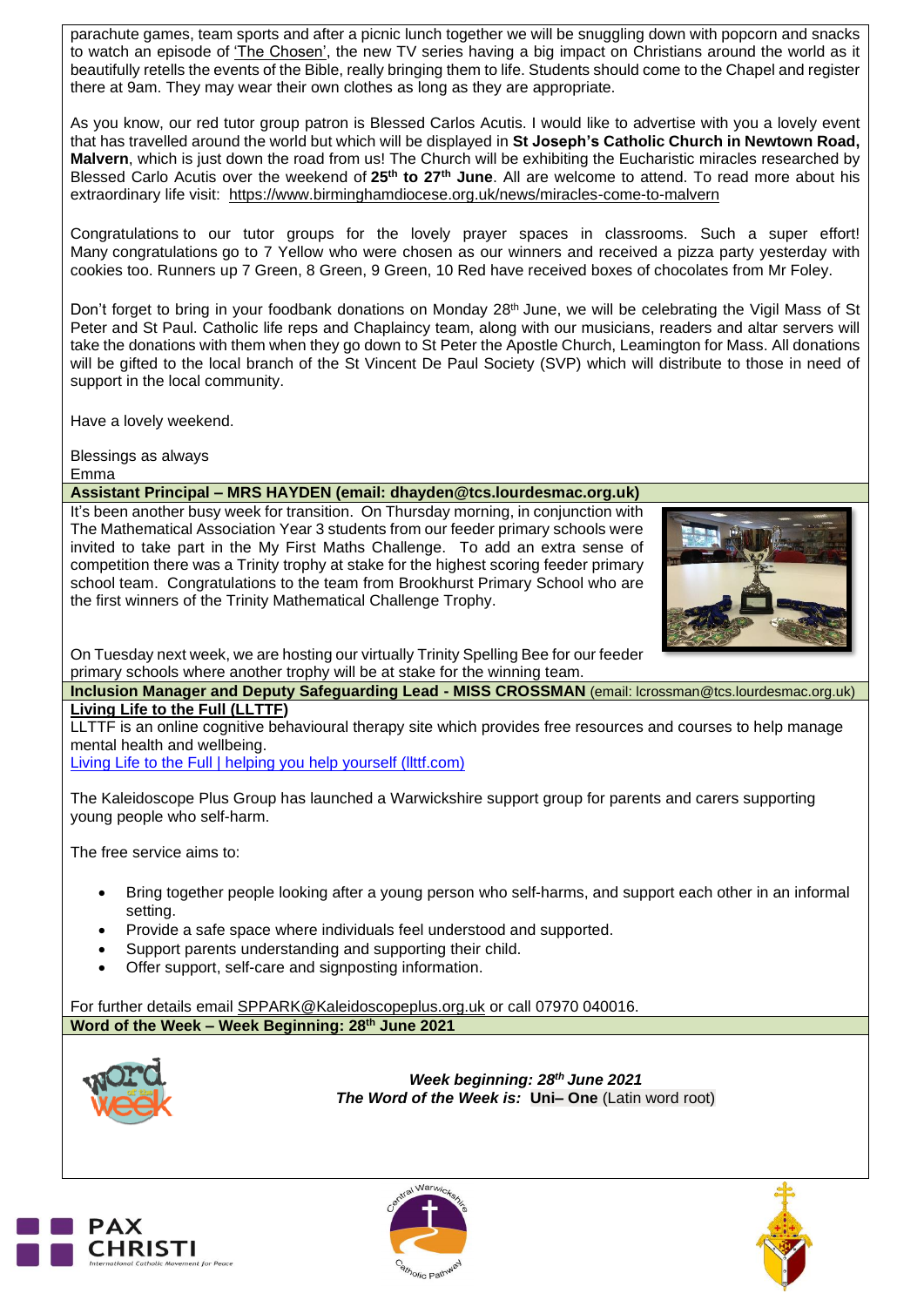parachute games, team sports and after a picnic lunch together we will be snuggling down with popcorn and snacks to watch an episode of 'The [Chosen',](https://watch.angelstudios.com/thechosen) the new TV series having a big impact on Christians around the world as it beautifully retells the events of the Bible, really bringing them to life. Students should come to the Chapel and register there at 9am. They may wear their own clothes as long as they are appropriate.

As you know, our red tutor group patron is Blessed Carlos Acutis. I would like to advertise with you a lovely event that has travelled around the world but which will be displayed in **St Joseph's Catholic Church in Newtown Road, Malvern**, which is just down the road from us! The Church will be exhibiting the Eucharistic miracles researched by Blessed Carlo Acutis over the weekend of **25th to 27th June**. All are welcome to attend. To read more about his extraordinary life visit: <https://www.birminghamdiocese.org.uk/news/miracles-come-to-malvern>

Congratulations to our tutor groups for the lovely prayer spaces in classrooms. Such a super effort! Many congratulations go to 7 Yellow who were chosen as our winners and received a pizza party yesterday with cookies too. Runners up 7 Green, 8 Green, 9 Green, 10 Red have received boxes of chocolates from Mr Foley.

Don't forget to bring in your foodbank donations on Monday 28<sup>th</sup> June, we will be celebrating the Vigil Mass of St Peter and St Paul. Catholic life reps and Chaplaincy team, along with our musicians, readers and altar servers will take the donations with them when they go down to St Peter the Apostle Church, Leamington for Mass. All donations will be gifted to the local branch of the St Vincent De Paul Society (SVP) which will distribute to those in need of support in the local community.

Have a lovely weekend.

Blessings as always Emma

#### **Assistant Principal – MRS HAYDEN (email: dhayden@tcs.lourdesmac.org.uk)**

It's been another busy week for transition. On Thursday morning, in conjunction with The Mathematical Association Year 3 students from our feeder primary schools were invited to take part in the My First Maths Challenge. To add an extra sense of competition there was a Trinity trophy at stake for the highest scoring feeder primary school team. Congratulations to the team from Brookhurst Primary School who are the first winners of the Trinity Mathematical Challenge Trophy.



On Tuesday next week, we are hosting our virtually Trinity Spelling Bee for our feeder primary schools where another trophy will be at stake for the winning team.

**Inclusion Manager and Deputy Safeguarding Lead - MISS CROSSMAN** (email: lcrossman@tcs.lourdesmac.org.uk) **Living Life to the Full (LLTTF)**

LLTTF is an online cognitive behavioural therapy site which provides free resources and courses to help manage mental health and wellbeing.

Living Life to the Full | helping you help yourself [\(llttf.com\)](https://llttf.com/)

The Kaleidoscope Plus Group has launched a Warwickshire support group for parents and carers supporting young people who self-harm.

The free service aims to:

- Bring together people looking after a young person who self-harms, and support each other in an informal setting.
- Provide a safe space where individuals feel understood and supported.
- Support parents understanding and supporting their child.
- Offer support, self-care and signposting information.

For further details email [SPPARK@Kaleidoscopeplus.org.uk](mailto:SPPARK@Kaleidoscopeplus.org.uk) or call 07970 040016. **Word of the Week – Week Beginning: 28th June 2021**



*Week beginning: 28th June 2021 The Word of the Week is:* **Uni– One** (Latin word root)





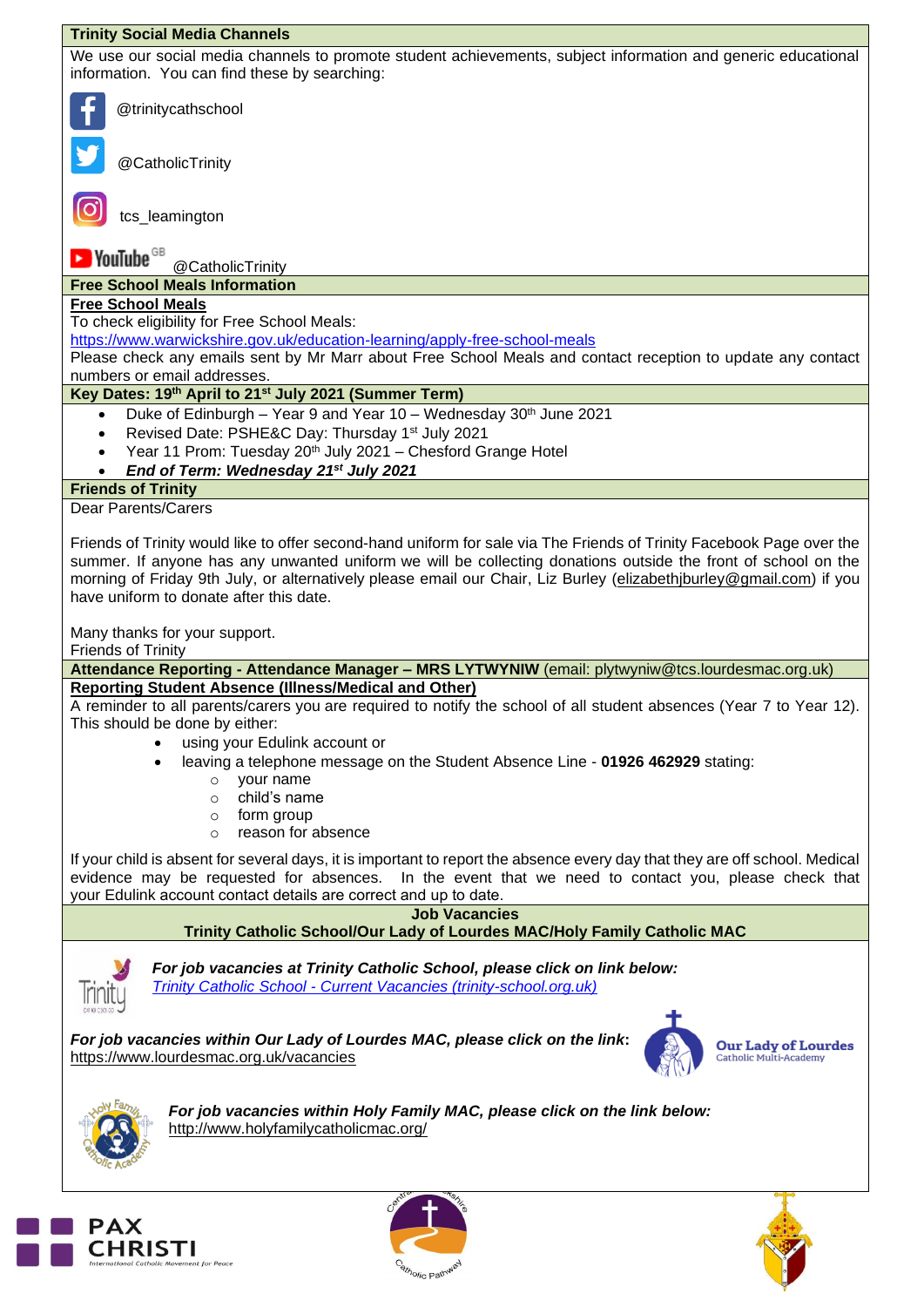| <b>Trinity Social Media Channels</b>                                                                                                                                                                                                                                                                                                                                                                     |  |  |
|----------------------------------------------------------------------------------------------------------------------------------------------------------------------------------------------------------------------------------------------------------------------------------------------------------------------------------------------------------------------------------------------------------|--|--|
| We use our social media channels to promote student achievements, subject information and generic educational<br>information. You can find these by searching:                                                                                                                                                                                                                                           |  |  |
| @trinitycathschool                                                                                                                                                                                                                                                                                                                                                                                       |  |  |
| @CatholicTrinity                                                                                                                                                                                                                                                                                                                                                                                         |  |  |
| tcs_leamington                                                                                                                                                                                                                                                                                                                                                                                           |  |  |
| $\blacktriangleright$ YouTube $^\text{\tiny GB}$<br>@CatholicTrinity                                                                                                                                                                                                                                                                                                                                     |  |  |
| <b>Free School Meals Information</b>                                                                                                                                                                                                                                                                                                                                                                     |  |  |
| <b>Free School Meals</b>                                                                                                                                                                                                                                                                                                                                                                                 |  |  |
| To check eligibility for Free School Meals:                                                                                                                                                                                                                                                                                                                                                              |  |  |
| https://www.warwickshire.gov.uk/education-learning/apply-free-school-meals                                                                                                                                                                                                                                                                                                                               |  |  |
| Please check any emails sent by Mr Marr about Free School Meals and contact reception to update any contact                                                                                                                                                                                                                                                                                              |  |  |
| numbers or email addresses.                                                                                                                                                                                                                                                                                                                                                                              |  |  |
| Key Dates: 19th April to 21st July 2021 (Summer Term)                                                                                                                                                                                                                                                                                                                                                    |  |  |
| Duke of Edinburgh - Year 9 and Year 10 - Wednesday 30th June 2021<br>$\bullet$                                                                                                                                                                                                                                                                                                                           |  |  |
| Revised Date: PSHE&C Day: Thursday 1st July 2021<br>$\bullet$                                                                                                                                                                                                                                                                                                                                            |  |  |
| Year 11 Prom: Tuesday 20 <sup>th</sup> July 2021 - Chesford Grange Hotel<br>$\bullet$                                                                                                                                                                                                                                                                                                                    |  |  |
| End of Term: Wednesday 21st July 2021                                                                                                                                                                                                                                                                                                                                                                    |  |  |
| <b>Friends of Trinity</b>                                                                                                                                                                                                                                                                                                                                                                                |  |  |
| <b>Dear Parents/Carers</b>                                                                                                                                                                                                                                                                                                                                                                               |  |  |
| Friends of Trinity would like to offer second-hand uniform for sale via The Friends of Trinity Facebook Page over the<br>summer. If anyone has any unwanted uniform we will be collecting donations outside the front of school on the<br>morning of Friday 9th July, or alternatively please email our Chair, Liz Burley (elizabethjburley@gmail.com) if you<br>have uniform to donate after this date. |  |  |
| Many thanks for your support.<br><b>Friends of Trinity</b>                                                                                                                                                                                                                                                                                                                                               |  |  |
| Attendance Reporting - Attendance Manager - MRS LYTWYNIW (email: plytwyniw@tcs.lourdesmac.org.uk)                                                                                                                                                                                                                                                                                                        |  |  |
| <b>Reporting Student Absence (Illness/Medical and Other)</b>                                                                                                                                                                                                                                                                                                                                             |  |  |
| A reminder to all parents/carers you are required to notify the school of all student absences (Year 7 to Year 12).<br>This should be done by either:                                                                                                                                                                                                                                                    |  |  |
| using your Edulink account or                                                                                                                                                                                                                                                                                                                                                                            |  |  |
| leaving a telephone message on the Student Absence Line - 01926 462929 stating:<br>$\bullet$                                                                                                                                                                                                                                                                                                             |  |  |
| your name<br>$\circ$<br>child's name<br>$\Omega$                                                                                                                                                                                                                                                                                                                                                         |  |  |
| form group                                                                                                                                                                                                                                                                                                                                                                                               |  |  |
| $\circ$<br>reason for absence<br>$\Omega$                                                                                                                                                                                                                                                                                                                                                                |  |  |
|                                                                                                                                                                                                                                                                                                                                                                                                          |  |  |
| If your child is absent for several days, it is important to report the absence every day that they are off school. Medical<br>evidence may be requested for absences. In the event that we need to contact you, please check that<br>your Edulink account contact details are correct and up to date.                                                                                                   |  |  |
| <b>Job Vacancies</b>                                                                                                                                                                                                                                                                                                                                                                                     |  |  |
| Trinity Catholic School/Our Lady of Lourdes MAC/Holy Family Catholic MAC                                                                                                                                                                                                                                                                                                                                 |  |  |
| For job vacancies at Trinity Catholic School, please click on link below:<br>Trinity Catholic School - Current Vacancies (trinity-school.org.uk)                                                                                                                                                                                                                                                         |  |  |
| For job vacancies within Our Lady of Lourdes MAC, please click on the link:<br><b>Our Lady of Lourdes</b><br>Catholic Multi-Academy<br>https://www.lourdesmac.org.uk/vacancies                                                                                                                                                                                                                           |  |  |
| For job vacancies within Holy Family MAC, please click on the link below:<br>http://www.holyfamilycatholicmac.org/                                                                                                                                                                                                                                                                                       |  |  |
|                                                                                                                                                                                                                                                                                                                                                                                                          |  |  |





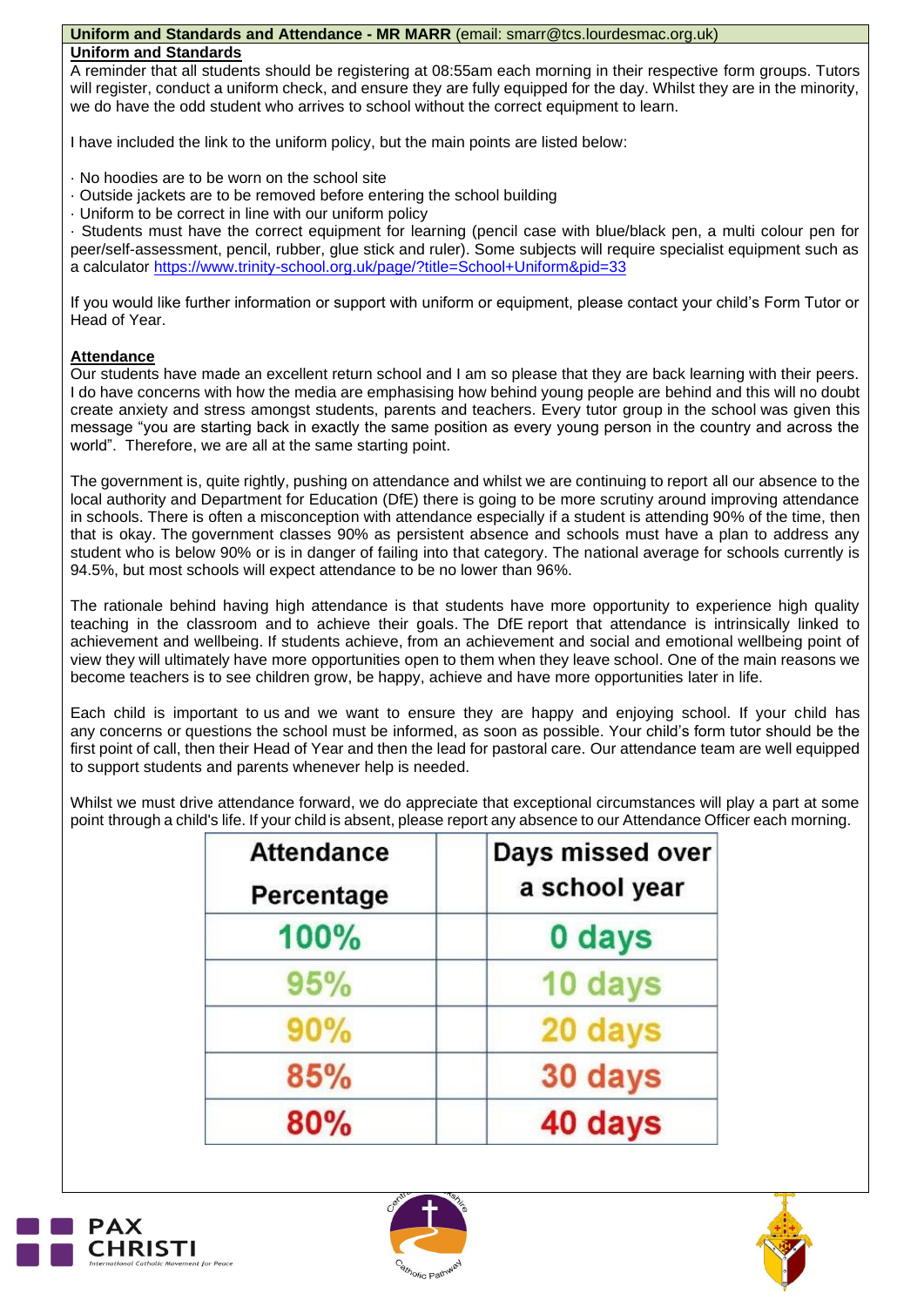#### **Uniform and Standards and Attendance - MR MARR** (email: smarr@tcs.lourdesmac.org.uk)

#### **Uniform and Standards**

A reminder that all students should be registering at 08:55am each morning in their respective form groups. Tutors will register, conduct a uniform check, and ensure they are fully equipped for the day. Whilst they are in the minority, we do have the odd student who arrives to school without the correct equipment to learn.

I have included the link to the uniform policy, but the main points are listed below:

· No hoodies are to be worn on the school site

- · Outside jackets are to be removed before entering the school building
- · Uniform to be correct in line with our uniform policy

· Students must have the correct equipment for learning (pencil case with blue/black pen, a multi colour pen for peer/self-assessment, pencil, rubber, glue stick and ruler). Some subjects will require specialist equipment such as a calculator<https://www.trinity-school.org.uk/page/?title=School+Uniform&pid=33>

If you would like further information or support with uniform or equipment, please contact your child's Form Tutor or Head of Year.

#### **Attendance**

Our students have made an excellent return school and I am so please that they are back learning with their peers. I do have concerns with how the media are emphasising how behind young people are behind and this will no doubt create anxiety and stress amongst students, parents and teachers. Every tutor group in the school was given this message "you are starting back in exactly the same position as every young person in the country and across the world". Therefore, we are all at the same starting point.

The government is, quite rightly, pushing on attendance and whilst we are continuing to report all our absence to the local authority and Department for Education (DfE) there is going to be more scrutiny around improving attendance in schools. There is often a misconception with attendance especially if a student is attending 90% of the time, then that is okay. The government classes 90% as persistent absence and schools must have a plan to address any student who is below 90% or is in danger of failing into that category. The national average for schools currently is 94.5%, but most schools will expect attendance to be no lower than 96%.

The rationale behind having high attendance is that students have more opportunity to experience high quality teaching in the classroom and to achieve their goals. The DfE report that attendance is intrinsically linked to achievement and wellbeing. If students achieve, from an achievement and social and emotional wellbeing point of view they will ultimately have more opportunities open to them when they leave school. One of the main reasons we become teachers is to see children grow, be happy, achieve and have more opportunities later in life.

Each child is important to us and we want to ensure they are happy and enjoying school. If your child has any concerns or questions the school must be informed, as soon as possible. Your child's form tutor should be the first point of call, then their Head of Year and then the lead for pastoral care. Our attendance team are well equipped to support students and parents whenever help is needed.

Whilst we must drive attendance forward, we do appreciate that exceptional circumstances will play a part at some point through a child's life. If your child is absent, please report any absence to our Attendance Officer each morning.

| <b>Attendance</b><br>Percentage | Days missed over<br>a school year |
|---------------------------------|-----------------------------------|
|                                 |                                   |
| 95%                             | 10 days                           |
| 90%                             | 20 days                           |
| 85%                             | 30 days                           |
| 80%                             | 40 days                           |





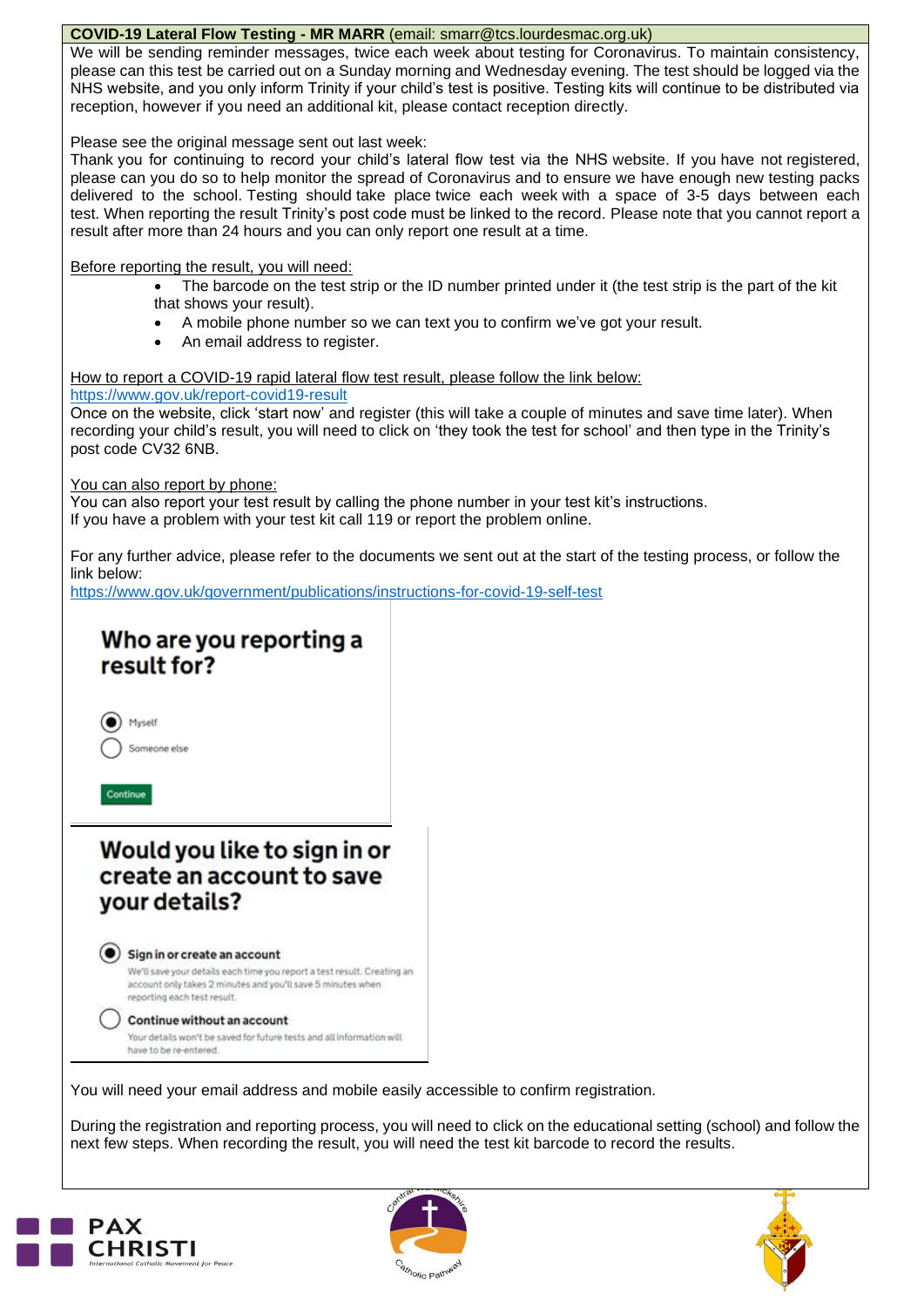#### **COVID-19 Lateral Flow Testing - MR MARR** (email: [smarr@tcs.lourdesmac.org.uk\)](mailto:smarr@tcs.lourdesmac.org.uk)

We will be sending reminder messages, twice each week about testing for Coronavirus. To maintain consistency, please can this test be carried out on a Sunday morning and Wednesday evening. The test should be logged via the NHS website, and you only inform Trinity if your child's test is positive. Testing kits will continue to be distributed via reception, however if you need an additional kit, please contact reception directly.

Please see the original message sent out last week:

Thank you for continuing to record your child's lateral flow test via the NHS website. If you have not registered, please can you do so to help monitor the spread of Coronavirus and to ensure we have enough new testing packs delivered to the school. Testing should take place twice each week with a space of 3-5 days between each test. When reporting the result Trinity's post code must be linked to the record. Please note that you cannot report a result after more than 24 hours and you can only report one result at a time.

Before reporting the result, you will need:

- The barcode on the test strip or the ID number printed under it (the test strip is the part of the kit that shows your result).
- A mobile phone number so we can text you to confirm we've got your result.
- An email address to register.

How to report a COVID-19 rapid lateral flow test result, please follow the link below:

<https://www.gov.uk/report-covid19-result>

Once on the website, click 'start now' and register (this will take a couple of minutes and save time later). When recording your child's result, you will need to click on 'they took the test for school' and then type in the Trinity's post code CV32 6NB.

You can also report by phone:

You can also report your test result by calling the phone number in your test kit's instructions. If you have a problem with your test kit call 119 or report the problem online.

For any further advice, please refer to the documents we sent out at the start of the testing process, or follow the link below:

<https://www.gov.uk/government/publications/instructions-for-covid-19-self-test>

## Who are you reporting a result for?



Continue

## Would you like to sign in or create an account to save vour details?

 $\left( \bullet \right)$  Sign in or create an account

We'll save your details each time you report a test result. Creating an account only takes 2 minutes and you'll save 5 minutes when reporting each test result.

Continue without an account

Your details won't be saved for future tests and all information will have to be re-entered.

You will need your email address and mobile easily accessible to confirm registration.

During the registration and reporting process, you will need to click on the educational setting (school) and follow the next few steps. When recording the result, you will need the test kit barcode to record the results.





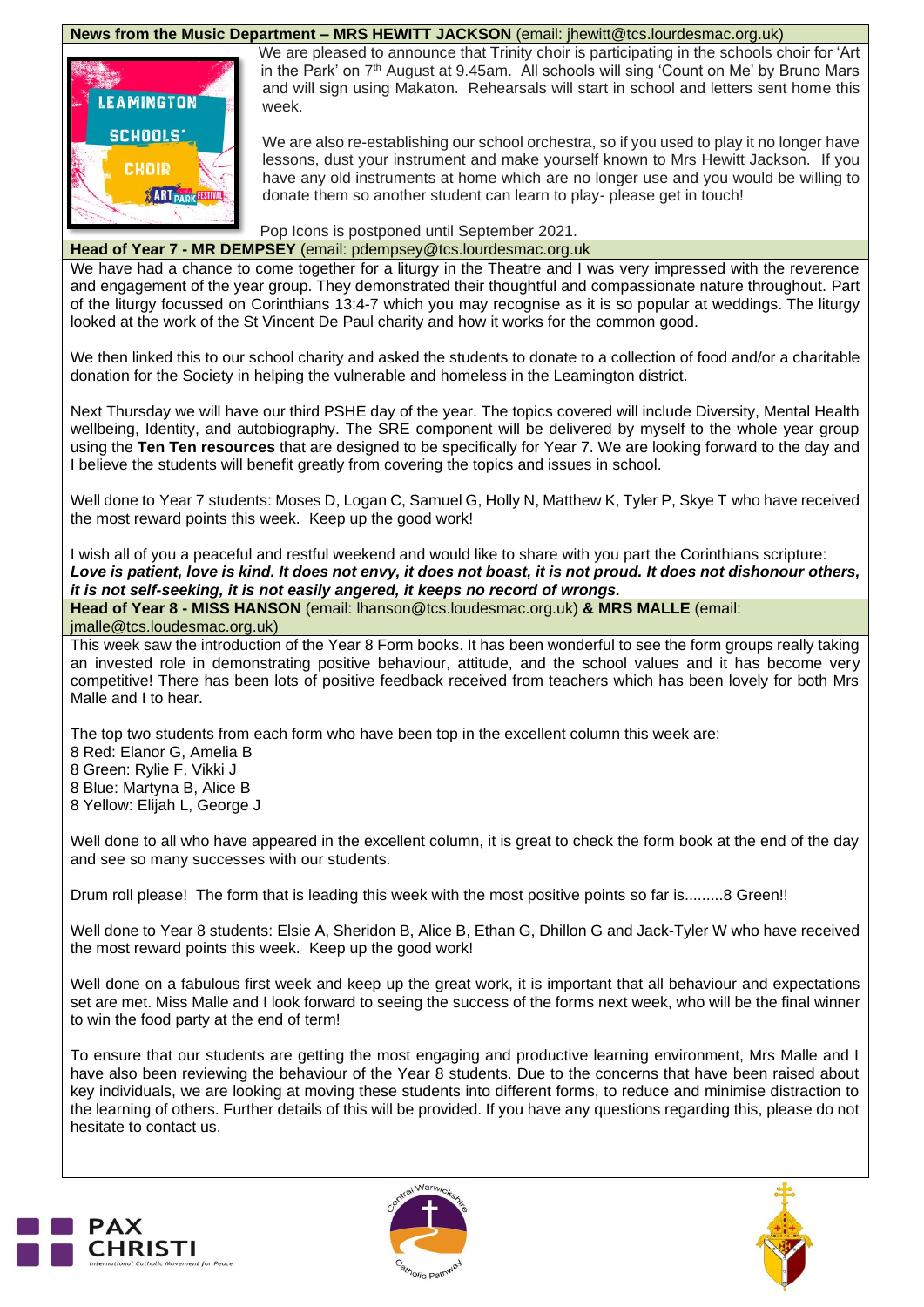#### **News from the Music Department – MRS HEWITT JACKSON** (email: jhewitt@tcs.lourdesmac.org.uk)



We are pleased to announce that Trinity choir is participating in the schools choir for 'Art in the Park' on 7<sup>th</sup> August at 9.45am. All schools will sing 'Count on Me' by Bruno Mars and will sign using Makaton. Rehearsals will start in school and letters sent home this week.

We are also re-establishing our school orchestra, so if you used to play it no longer have lessons, dust your instrument and make yourself known to Mrs Hewitt Jackson. If you have any old instruments at home which are no longer use and you would be willing to donate them so another student can learn to play- please get in touch!

Pop Icons is postponed until September 2021.

#### **Head of Year 7 - MR DEMPSEY** (email: [pdempsey@tcs.lourdesmac.org.uk](mailto:pdempsey@tcs.lourdesmac.org.uk)

We have had a chance to come together for a liturgy in the Theatre and I was very impressed with the reverence and engagement of the year group. They demonstrated their thoughtful and compassionate nature throughout. Part of the liturgy focussed on Corinthians 13:4-7 which you may recognise as it is so popular at weddings. The liturgy looked at the work of the St Vincent De Paul charity and how it works for the common good.

We then linked this to our school charity and asked the students to donate to a collection of food and/or a charitable donation for the Society in helping the vulnerable and homeless in the Leamington district.

Next Thursday we will have our third PSHE day of the year. The topics covered will include Diversity, Mental Health wellbeing, Identity, and autobiography. The SRE component will be delivered by myself to the whole year group using the **Ten Ten resources** that are designed to be specifically for Year 7. We are looking forward to the day and I believe the students will benefit greatly from covering the topics and issues in school.

Well done to Year 7 students: Moses D, Logan C, Samuel G, Holly N, Matthew K, Tyler P, Skye T who have received the most reward points this week. Keep up the good work!

I wish all of you a peaceful and restful weekend and would like to share with you part the Corinthians scripture: Love is patient, love is kind. It does not envy, it does not boast, it is not proud. It does not dishonour others, *it is not self-seeking, it is not easily angered, it keeps no record of wrongs.*

**Head of Year 8 - MISS HANSON** (email: [lhanson@tcs.loudesmac.org.uk\)](mailto:lhanson@tcs.loudesmac.org.uk) **& MRS MALLE** (email: [jmalle@tcs.loudesmac.org.uk\)](mailto:jmalle@tcs.loudesmac.org.uk)

This week saw the introduction of the Year 8 Form books. It has been wonderful to see the form groups really taking an invested role in demonstrating positive behaviour, attitude, and the school values and it has become very competitive! There has been lots of positive feedback received from teachers which has been lovely for both Mrs Malle and I to hear.

The top two students from each form who have been top in the excellent column this week are:

- 8 Red: Elanor G, Amelia B
- 8 Green: Rylie F, Vikki J
- 8 Blue: Martyna B, Alice B
- 8 Yellow: Elijah L, George J

Well done to all who have appeared in the excellent column, it is great to check the form book at the end of the day and see so many successes with our students.

Drum roll please! The form that is leading this week with the most positive points so far is.........8 Green!!

Well done to Year 8 students: Elsie A, Sheridon B, Alice B, Ethan G, Dhillon G and Jack-Tyler W who have received the most reward points this week. Keep up the good work!

Well done on a fabulous first week and keep up the great work, it is important that all behaviour and expectations set are met. Miss Malle and I look forward to seeing the success of the forms next week, who will be the final winner to win the food party at the end of term!

To ensure that our students are getting the most engaging and productive learning environment, Mrs Malle and I have also been reviewing the behaviour of the Year 8 students. Due to the concerns that have been raised about key individuals, we are looking at moving these students into different forms, to reduce and minimise distraction to the learning of others. Further details of this will be provided. If you have any questions regarding this, please do not hesitate to contact us.





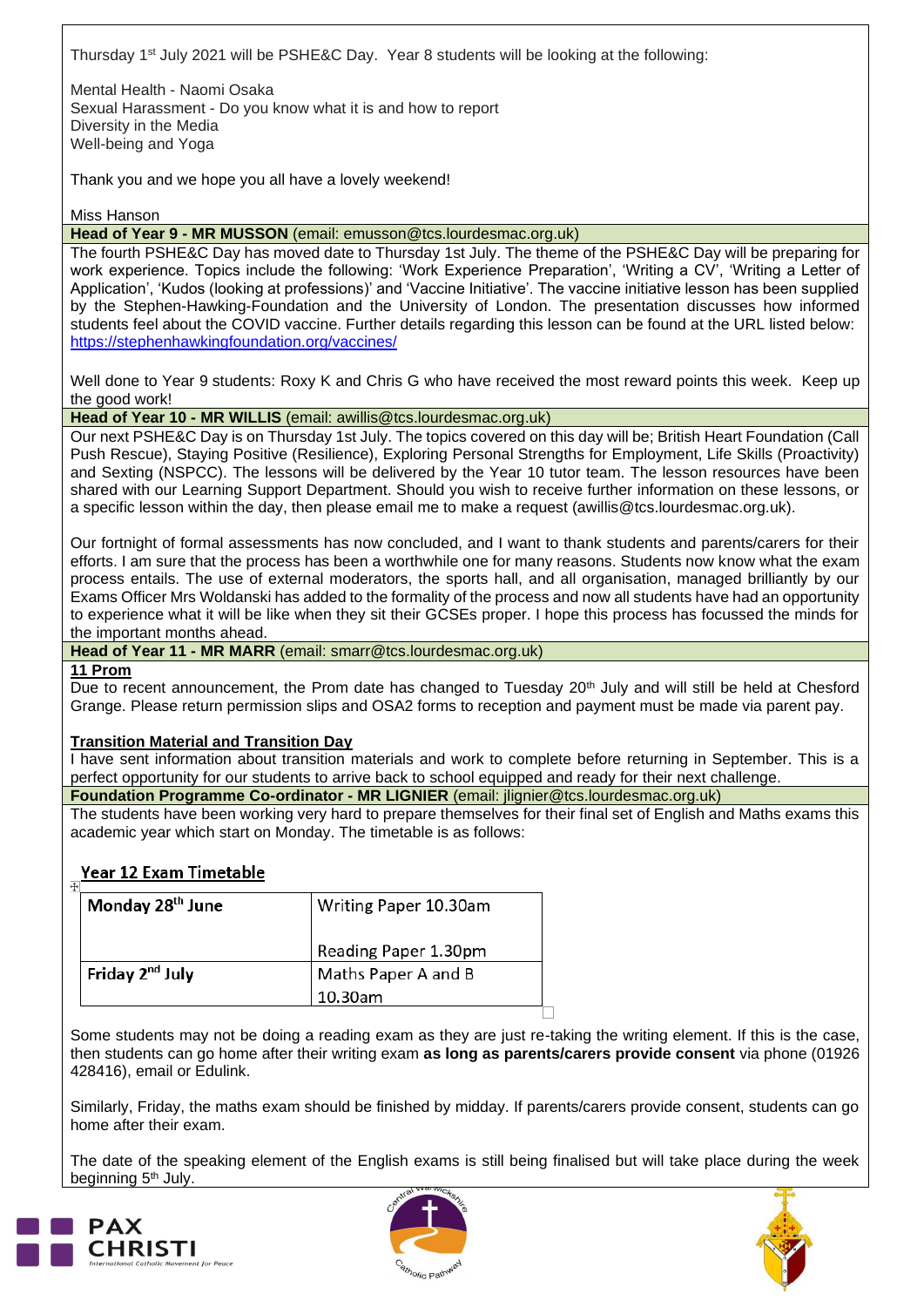Thursday 1<sup>st</sup> July 2021 will be PSHE&C Day. Year 8 students will be looking at the following:

Mental Health - Naomi Osaka Sexual Harassment - Do you know what it is and how to report Diversity in the Media Well-being and Yoga

Thank you and we hope you all have a lovely weekend!

Miss Hanson

**Head of Year 9 - MR MUSSON** (email: [emusson@tcs.lourdesmac.org.uk\)](mailto:emusson@tcs.lourdesmac.org.uk)

The fourth PSHE&C Day has moved date to Thursday 1st July. The theme of the PSHE&C Day will be preparing for work experience. Topics include the following: 'Work Experience Preparation', 'Writing a CV', 'Writing a Letter of Application', 'Kudos (looking at professions)' and 'Vaccine Initiative'. The vaccine initiative lesson has been supplied by the Stephen-Hawking-Foundation and the University of London. The presentation discusses how informed students feel about the COVID vaccine. Further details regarding this lesson can be found at the URL listed below: <https://stephenhawkingfoundation.org/vaccines/>

Well done to Year 9 students: Roxy K and Chris G who have received the most reward points this week. Keep up the good work!

**Head of Year 10 - MR WILLIS** (email: [awillis@tcs.lourdesmac.org.uk\)](mailto:awillis@tcs.lourdesmac.org.uk)

Our next PSHE&C Day is on Thursday 1st July. The topics covered on this day will be; British Heart Foundation (Call Push Rescue), Staying Positive (Resilience), Exploring Personal Strengths for Employment, Life Skills (Proactivity) and Sexting (NSPCC). The lessons will be delivered by the Year 10 tutor team. The lesson resources have been shared with our Learning Support Department. Should you wish to receive further information on these lessons, or a specific lesson within the day, then please email me to make a request (awillis@tcs.lourdesmac.org.uk).

Our fortnight of formal assessments has now concluded, and I want to thank students and parents/carers for their efforts. I am sure that the process has been a worthwhile one for many reasons. Students now know what the exam process entails. The use of external moderators, the sports hall, and all organisation, managed brilliantly by our Exams Officer Mrs Woldanski has added to the formality of the process and now all students have had an opportunity to experience what it will be like when they sit their GCSEs proper. I hope this process has focussed the minds for the important months ahead.

**Head of Year 11 - MR MARR** (email: [smarr@tcs.lourdesmac.org.uk\)](mailto:smarr@tcs.lourdesmac.org.uk)

**11 Prom**

Due to recent announcement, the Prom date has changed to Tuesday 20<sup>th</sup> July and will still be held at Chesford Grange. Please return permission slips and OSA2 forms to reception and payment must be made via parent pay.

#### **Transition Material and Transition Day**

I have sent information about transition materials and work to complete before returning in September. This is a perfect opportunity for our students to arrive back to school equipped and ready for their next challenge.

**Foundation Programme Co-ordinator - MR LIGNIER** (email: [jlignier@tcs.lourdesmac.org.uk\)](mailto:jlignier@lourdesmac.org.uk)

The students have been working very hard to prepare themselves for their final set of English and Maths exams this academic year which start on Monday. The timetable is as follows:

#### **Year 12 Exam Timetable**

| Writing Paper 10.30am |
|-----------------------|
| Reading Paper 1.30pm  |
| Maths Paper A and B   |
| 10.30am               |
|                       |

Some students may not be doing a reading exam as they are just re-taking the writing element. If this is the case, then students can go home after their writing exam **as long as parents/carers provide consent** via phone (01926 428416), email or Edulink.

Similarly, Friday, the maths exam should be finished by midday. If parents/carers provide consent, students can go home after their exam.

The date of the speaking element of the English exams is still being finalised but will take place during the week beginning 5<sup>th</sup> July.